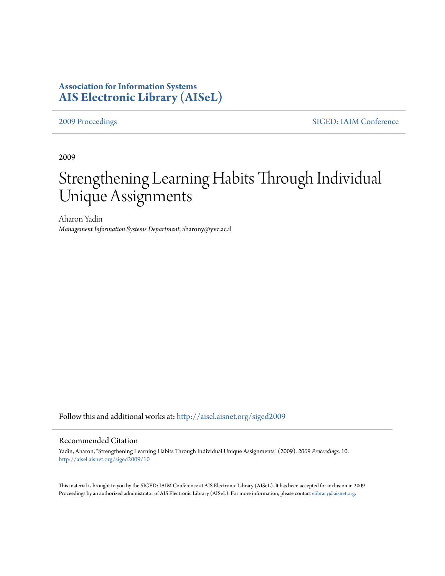# **Association for Information Systems [AIS Electronic Library \(AISeL\)](http://aisel.aisnet.org?utm_source=aisel.aisnet.org%2Fsiged2009%2F10&utm_medium=PDF&utm_campaign=PDFCoverPages)**

[2009 Proceedings](http://aisel.aisnet.org/siged2009?utm_source=aisel.aisnet.org%2Fsiged2009%2F10&utm_medium=PDF&utm_campaign=PDFCoverPages) [SIGED: IAIM Conference](http://aisel.aisnet.org/siged?utm_source=aisel.aisnet.org%2Fsiged2009%2F10&utm_medium=PDF&utm_campaign=PDFCoverPages)

2009

# Strengthening Learning Habits Through Individual Unique Assignments

Aharon Yadin *Management Information Systems Department*, aharony@yvc.ac.il

Follow this and additional works at: [http://aisel.aisnet.org/siged2009](http://aisel.aisnet.org/siged2009?utm_source=aisel.aisnet.org%2Fsiged2009%2F10&utm_medium=PDF&utm_campaign=PDFCoverPages)

#### Recommended Citation

Yadin, Aharon, "Strengthening Learning Habits Through Individual Unique Assignments" (2009). *2009 Proceedings*. 10. [http://aisel.aisnet.org/siged2009/10](http://aisel.aisnet.org/siged2009/10?utm_source=aisel.aisnet.org%2Fsiged2009%2F10&utm_medium=PDF&utm_campaign=PDFCoverPages)

This material is brought to you by the SIGED: IAIM Conference at AIS Electronic Library (AISeL). It has been accepted for inclusion in 2009 Proceedings by an authorized administrator of AIS Electronic Library (AISeL). For more information, please contact [elibrary@aisnet.org](mailto:elibrary@aisnet.org%3E).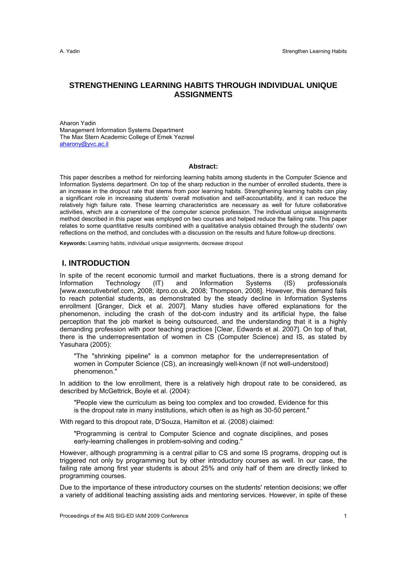# **STRENGTHENING LEARNING HABITS THROUGH INDIVIDUAL UNIQUE ASSIGNMENTS**

Aharon Yadin Management Information Systems Department The Max Stern Academic College of Emek Yezreel aharony@yvc.ac.il

#### **Abstract:**

This paper describes a method for reinforcing learning habits among students in the Computer Science and Information Systems department. On top of the sharp reduction in the number of enrolled students, there is an increase in the dropout rate that stems from poor learning habits. Strengthening learning habits can play a significant role in increasing students' overall motivation and self-accountability, and it can reduce the relatively high failure rate. These learning characteristics are necessary as well for future collaborative activities, which are a cornerstone of the computer science profession. The individual unique assignments method described in this paper was employed on two courses and helped reduce the failing rate. This paper relates to some quantitative results combined with a qualitative analysis obtained through the students' own reflections on the method, and concludes with a discussion on the results and future follow-up directions.

**Keywords:** Learning habits, individual unique assignments, decrease dropout

### **I. INTRODUCTION**

In spite of the recent economic turmoil and market fluctuations, there is a strong demand for Information Technology (IT) and Information Systems (IS) professionals [www.executivebrief.com, 2008; itpro.co.uk, 2008; Thompson, 2008]. However, this demand fails to reach potential students, as demonstrated by the steady decline in Information Systems enrollment [Granger, Dick et al. 2007]. Many studies have offered explanations for the phenomenon, including the crash of the dot-com industry and its artificial hype, the false perception that the job market is being outsourced, and the understanding that it is a highly demanding profession with poor teaching practices [Clear, Edwards et al. 2007]. On top of that, there is the underrepresentation of women in CS (Computer Science) and IS, as stated by Yasuhara (2005):

"The "shrinking pipeline" is a common metaphor for the underrepresentation of women in Computer Science (CS), an increasingly well-known (if not well-understood) phenomenon."

In addition to the low enrollment, there is a relatively high dropout rate to be considered, as described by McGettrick, Boyle et al. (2004):

"People view the curriculum as being too complex and too crowded. Evidence for this is the dropout rate in many institutions, which often is as high as 30-50 percent."

With regard to this dropout rate, D'Souza, Hamilton et al. (2008) claimed:

"Programming is central to Computer Science and cognate disciplines, and poses early-learning challenges in problem-solving and coding."

However, although programming is a central pillar to CS and some IS programs, dropping out is triggered not only by programming but by other introductory courses as well. In our case, the failing rate among first year students is about 25% and only half of them are directly linked to programming courses.

Due to the importance of these introductory courses on the students' retention decisions; we offer a variety of additional teaching assisting aids and mentoring services. However, in spite of these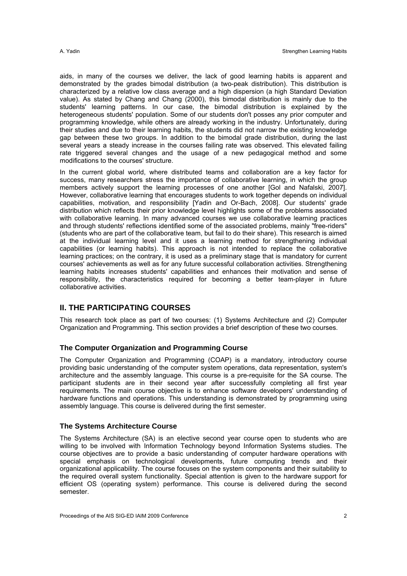aids, in many of the courses we deliver, the lack of good learning habits is apparent and demonstrated by the grades bimodal distribution (a two-peak distribution). This distribution is characterized by a relative low class average and a high dispersion (a high Standard Deviation value). As stated by Chang and Chang (2000), this bimodal distribution is mainly due to the students' learning patterns. In our case, the bimodal distribution is explained by the heterogeneous students' population. Some of our students don't posses any prior computer and programming knowledge, while others are already working in the industry. Unfortunately, during their studies and due to their learning habits, the students did not narrow the existing knowledge gap between these two groups. In addition to the bimodal grade distribution, during the last several years a steady increase in the courses failing rate was observed. This elevated failing rate triggered several changes and the usage of a new pedagogical method and some modifications to the courses' structure.

In the current global world, where distributed teams and collaboration are a key factor for success, many researchers stress the importance of collaborative learning, in which the group members actively support the learning processes of one another [Gol and Nafalski, 2007]. However, collaborative learning that encourages students to work together depends on individual capabilities, motivation, and responsibility [Yadin and Or-Bach, 2008]. Our students' grade distribution which reflects their prior knowledge level highlights some of the problems associated with collaborative learning. In many advanced courses we use collaborative learning practices and through students' reflections identified some of the associated problems, mainly "free-riders" (students who are part of the collaborative team, but fail to do their share). This research is aimed at the individual learning level and it uses a learning method for strengthening individual capabilities (or learning habits). This approach is not intended to replace the collaborative learning practices; on the contrary, it is used as a preliminary stage that is mandatory for current courses' achievements as well as for any future successful collaboration activities. Strengthening learning habits increases students' capabilities and enhances their motivation and sense of responsibility, the characteristics required for becoming a better team-player in future collaborative activities.

# **II. THE PARTICIPATING COURSES**

This research took place as part of two courses: (1) Systems Architecture and (2) Computer Organization and Programming. This section provides a brief description of these two courses.

#### **The Computer Organization and Programming Course**

The Computer Organization and Programming (COAP) is a mandatory, introductory course providing basic understanding of the computer system operations, data representation, system's architecture and the assembly language. This course is a pre-requisite for the SA course. The participant students are in their second year after successfully completing all first year requirements. The main course objective is to enhance software developers' understanding of hardware functions and operations. This understanding is demonstrated by programming using assembly language. This course is delivered during the first semester.

### **The Systems Architecture Course**

The Systems Architecture (SA) is an elective second year course open to students who are willing to be involved with Information Technology beyond Information Systems studies. The course objectives are to provide a basic understanding of computer hardware operations with special emphasis on technological developments, future computing trends and their organizational applicability. The course focuses on the system components and their suitability to the required overall system functionality. Special attention is given to the hardware support for efficient OS (operating system) performance. This course is delivered during the second semester.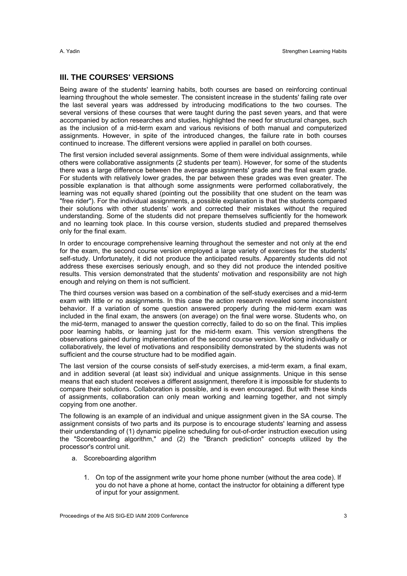### **III. THE COURSES' VERSIONS**

Being aware of the students' learning habits, both courses are based on reinforcing continual learning throughout the whole semester. The consistent increase in the students' failing rate over the last several years was addressed by introducing modifications to the two courses. The several versions of these courses that were taught during the past seven years, and that were accompanied by action researches and studies, highlighted the need for structural changes, such as the inclusion of a mid-term exam and various revisions of both manual and computerized assignments. However, in spite of the introduced changes, the failure rate in both courses continued to increase. The different versions were applied in parallel on both courses.

The first version included several assignments. Some of them were individual assignments, while others were collaborative assignments (2 students per team). However, for some of the students there was a large difference between the average assignments' grade and the final exam grade. For students with relatively lower grades, the par between these grades was even greater. The possible explanation is that although some assignments were performed collaboratively, the learning was not equally shared (pointing out the possibility that one student on the team was "free rider"). For the individual assignments, a possible explanation is that the students compared their solutions with other students' work and corrected their mistakes without the required understanding. Some of the students did not prepare themselves sufficiently for the homework and no learning took place. In this course version, students studied and prepared themselves only for the final exam.

In order to encourage comprehensive learning throughout the semester and not only at the end for the exam, the second course version employed a large variety of exercises for the students' self-study. Unfortunately, it did not produce the anticipated results. Apparently students did not address these exercises seriously enough, and so they did not produce the intended positive results. This version demonstrated that the students' motivation and responsibility are not high enough and relying on them is not sufficient.

The third courses version was based on a combination of the self-study exercises and a mid-term exam with little or no assignments. In this case the action research revealed some inconsistent behavior. If a variation of some question answered properly during the mid-term exam was included in the final exam, the answers (on average) on the final were worse. Students who, on the mid-term, managed to answer the question correctly, failed to do so on the final. This implies poor learning habits, or learning just for the mid-term exam. This version strengthens the observations gained during implementation of the second course version. Working individually or collaboratively, the level of motivations and responsibility demonstrated by the students was not sufficient and the course structure had to be modified again.

The last version of the course consists of self-study exercises, a mid-term exam, a final exam, and in addition several (at least six) individual and unique assignments. Unique in this sense means that each student receives a different assignment, therefore it is impossible for students to compare their solutions. Collaboration is possible, and is even encouraged. But with these kinds of assignments, collaboration can only mean working and learning together, and not simply copying from one another.

The following is an example of an individual and unique assignment given in the SA course. The assignment consists of two parts and its purpose is to encourage students' learning and assess their understanding of (1) dynamic pipeline scheduling for out-of-order instruction execution using the "Scoreboarding algorithm," and (2) the "Branch prediction" concepts utilized by the processor's control unit.

- a. Scoreboarding algorithm
	- 1. On top of the assignment write your home phone number (without the area code). If you do not have a phone at home, contact the instructor for obtaining a different type of input for your assignment.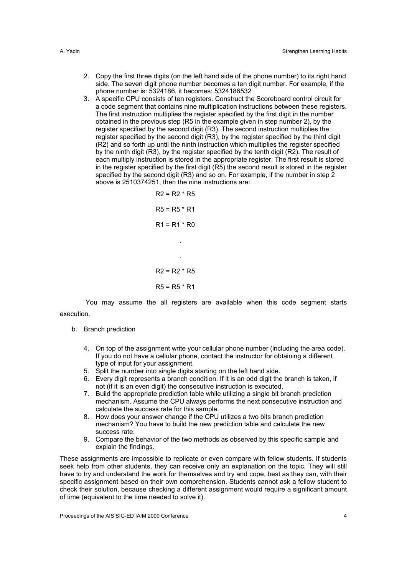- 2. Copy the first three digits (on the left hand side of the phone number) to its right hand side. The seven digit phone number becomes a ten digit number. For example, if the phone number is: 5324186, it becomes: 5324186532
- 3. A specific CPU consists of ten registers. Construct the Scoreboard control circuit for a code segment that contains nine multiplication instructions between these registers. The first instruction multiplies the register specified by the first digit in the number obtained in the previous step (R5 in the example given in step number 2), by the register specified by the second digit (R3). The second instruction multiplies the register specified by the second digit (R3), by the register specified by the third digit (R2) and so forth up until the ninth instruction which multiplies the register specified by the ninth digit (R3), by the register specified by the tenth digit (R2). The result of each multiply instruction is stored in the appropriate register. The first result is stored in the register specified by the first digit (R5) the second result is stored in the register specified by the second digit (R3) and so on. For example, if the number in step 2 above is 2510374251, then the nine instructions are:

$$
R2 = R2 * R5
$$
  
\n
$$
R5 = R5 * R1
$$
  
\n
$$
R1 = R1 * R0
$$
  
\n
$$
R2 = R2 * R5
$$
  
\n
$$
R5 = R5 * R1
$$

 You may assume the all registers are available when this code segment starts execution.

- b. Branch prediction
	- 4. On top of the assignment write your cellular phone number (including the area code). If you do not have a cellular phone, contact the instructor for obtaining a different type of input for your assignment.
	- 5. Split the number into single digits starting on the left hand side.
	- 6. Every digit represents a branch condition. If it is an odd digit the branch is taken, if not (if it is an even digit) the consecutive instruction is executed.
	- 7. Build the appropriate prediction table while utilizing a single bit branch prediction mechanism. Assume the CPU always performs the next consecutive instruction and calculate the success rate for this sample.
	- 8. How does your answer change if the CPU utilizes a two bits branch prediction mechanism? You have to build the new prediction table and calculate the new success rate.
	- 9. Compare the behavior of the two methods as observed by this specific sample and explain the findings.

These assignments are impossible to replicate or even compare with fellow students. If students seek help from other students, they can receive only an explanation on the topic. They will still have to try and understand the work for themselves and try and cope, best as they can, with their specific assignment based on their own comprehension. Students cannot ask a fellow student to check their solution, because checking a different assignment would require a significant amount of time (equivalent to the time needed to solve it).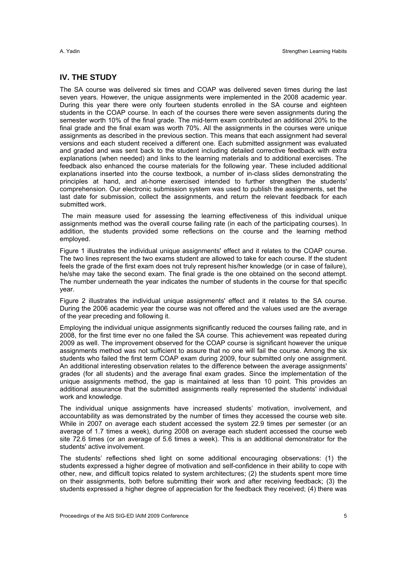### **IV. THE STUDY**

The SA course was delivered six times and COAP was delivered seven times during the last seven years. However, the unique assignments were implemented in the 2008 academic year. During this year there were only fourteen students enrolled in the SA course and eighteen students in the COAP course. In each of the courses there were seven assignments during the semester worth 10% of the final grade. The mid-term exam contributed an additional 20% to the final grade and the final exam was worth 70%. All the assignments in the courses were unique assignments as described in the previous section. This means that each assignment had several versions and each student received a different one. Each submitted assignment was evaluated and graded and was sent back to the student including detailed corrective feedback with extra explanations (when needed) and links to the learning materials and to additional exercises. The feedback also enhanced the course materials for the following year. These included additional explanations inserted into the course textbook, a number of in-class slides demonstrating the principles at hand, and at-home exercised intended to further strengthen the students' comprehension. Our electronic submission system was used to publish the assignments, set the last date for submission, collect the assignments, and return the relevant feedback for each submitted work.

 The main measure used for assessing the learning effectiveness of this individual unique assignments method was the overall course failing rate (in each of the participating courses). In addition, the students provided some reflections on the course and the learning method employed.

Figure 1 illustrates the individual unique assignments' effect and it relates to the COAP course. The two lines represent the two exams student are allowed to take for each course. If the student feels the grade of the first exam does not truly represent his/her knowledge (or in case of failure), he/she may take the second exam. The final grade is the one obtained on the second attempt. The number underneath the year indicates the number of students in the course for that specific year.

Figure 2 illustrates the individual unique assignments' effect and it relates to the SA course. During the 2006 academic year the course was not offered and the values used are the average of the year preceding and following it.

Employing the individual unique assignments significantly reduced the courses failing rate, and in 2008, for the first time ever no one failed the SA course. This achievement was repeated during 2009 as well. The improvement observed for the COAP course is significant however the unique assignments method was not sufficient to assure that no one will fail the course. Among the six students who failed the first term COAP exam during 2009, four submitted only one assignment. An additional interesting observation relates to the difference between the average assignments' grades (for all students) and the average final exam grades. Since the implementation of the unique assignments method, the gap is maintained at less than 10 point. This provides an additional assurance that the submitted assignments really represented the students' individual work and knowledge.

The individual unique assignments have increased students' motivation, involvement, and accountability as was demonstrated by the number of times they accessed the course web site. While in 2007 on average each student accessed the system 22.9 times per semester (or an average of 1.7 times a week), during 2008 on average each student accessed the course web site 72.6 times (or an average of 5.6 times a week). This is an additional demonstrator for the students' active involvement.

The students' reflections shed light on some additional encouraging observations: (1) the students expressed a higher degree of motivation and self-confidence in their ability to cope with other, new, and difficult topics related to system architectures; (2) the students spent more time on their assignments, both before submitting their work and after receiving feedback; (3) the students expressed a higher degree of appreciation for the feedback they received; (4) there was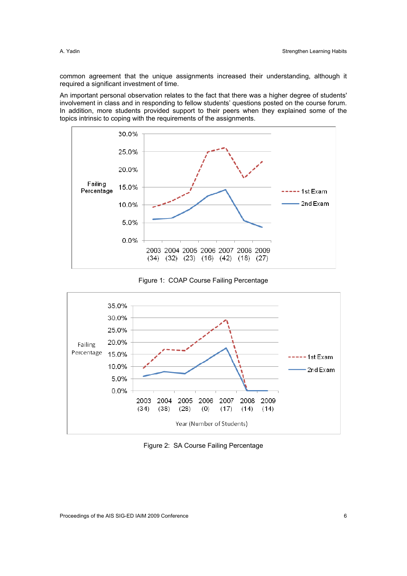common agreement that the unique assignments increased their understanding, although it required a significant investment of time.

An important personal observation relates to the fact that there was a higher degree of students' involvement in class and in responding to fellow students' questions posted on the course forum. In addition, more students provided support to their peers when they explained some of the topics intrinsic to coping with the requirements of the assignments.







Figure 2: SA Course Failing Percentage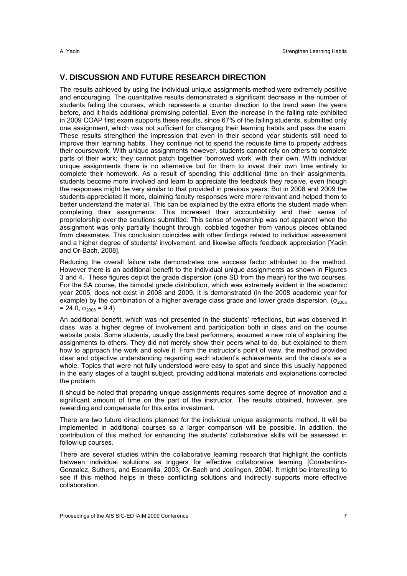# **V. DISCUSSION AND FUTURE RESEARCH DIRECTION**

The results achieved by using the individual unique assignments method were extremely positive and encouraging. The quantitative results demonstrated a significant decrease in the number of students failing the courses, which represents a counter direction to the trend seen the years before, and it holds additional promising potential. Even the increase in the failing rate exhibited in 2009 COAP first exam supports these results, since 67% of the failing students, submitted only one assignment, which was not sufficient for changing their learning habits and pass the exam. These results strengthen the impression that even in their second year students still need to improve their learning habits. They continue not to spend the requisite time to properly address their coursework. With unique assignments however, students cannot rely on others to complete parts of their work; they cannot patch together 'borrowed work' with their own. With individual unique assignments there is no alternative but for them to invest their own time entirely to complete their homework. As a result of spending this additional time on their assignments, students become more involved and learn to appreciate the feedback they receive, even though the responses might be very similar to that provided in previous years. But in 2008 and 2009 the students appreciated it more, claiming faculty responses were more relevant and helped them to better understand the material. This can be explained by the extra efforts the student made when completing their assignments. This increased their accountability and their sense of proprietorship over the solutions submitted. This sense of ownership was not apparent when the assignment was only partially thought through, cobbled together from various pieces obtained from classmates. This conclusion coincides with other findings related to individual assessment and a higher degree of students' involvement, and likewise affects feedback appreciation [Yadin and Or-Bach, 2008].

Reducing the overall failure rate demonstrates one success factor attributed to the method. However there is an additional benefit to the individual unique assignments as shown in Figures 3 and 4. These figures depict the grade dispersion (one SD from the mean) for the two courses. For the SA course, the bimodal grade distribution, which was extremely evident in the academic year 2005, does not exist in 2008 and 2009. It is demonstrated (in the 2008 academic year for example) by the combination of a higher average class grade and lower grade dispersion. ( $\sigma_{2005}$  $= 24.0, \sigma_{2008} = 9.4$ 

An additional benefit, which was not presented in the students' reflections, but was observed in class, was a higher degree of involvement and participation both in class and on the course website posts. Some students, usually the best performers, assumed a new role of explaining the assignments to others. They did not merely show their peers what to do, but explained to them how to approach the work and solve it. From the instructor's point of view, the method provided clear and objective understanding regarding each student's achievements and the class's as a whole. Topics that were not fully understood were easy to spot and since this usually happened in the early stages of a taught subject, providing additional materials and explanations corrected the problem.

It should be noted that preparing unique assignments requires some degree of innovation and a significant amount of time on the part of the instructor. The results obtained, however, are rewarding and compensate for this extra investment.

There are two future directions planned for the individual unique assignments method. It will be implemented in additional courses so a larger comparison will be possible. In addition, the contribution of this method for enhancing the students' collaborative skills will be assessed in follow-up courses.

There are several studies within the collaborative learning research that highlight the conflicts between individual solutions as triggers for effective collaborative learning [Constantino-Gonzalez, Suthers, and Escamilla, 2003; Or-Bach and Joolingen, 2004]. It might be interesting to see if this method helps in these conflicting solutions and indirectly supports more effective collaboration.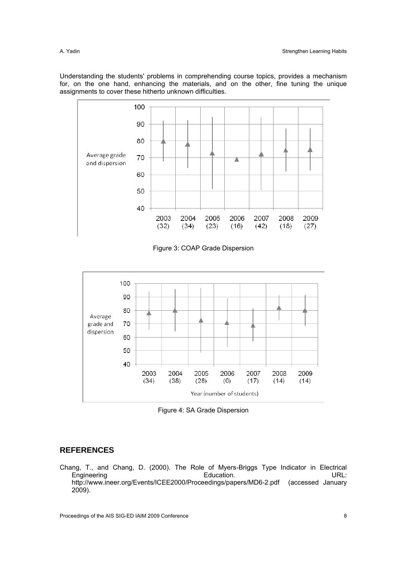Understanding the students' problems in comprehending course topics, provides a mechanism for, on the one hand, enhancing the materials, and on the other, fine tuning the unique assignments to cover these hitherto unknown difficulties.



Figure 3: COAP Grade Dispersion



Figure 4: SA Grade Dispersion

# **REFERENCES**

Chang, T., and Chang, D. (2000). The Role of Myers-Briggs Type Indicator in Electrical<br>Engineering Education. Education. Engineering http://www.ineer.org/Events/ICEE2000/Proceedings/papers/MD6-2.pdf (accessed January 2009).